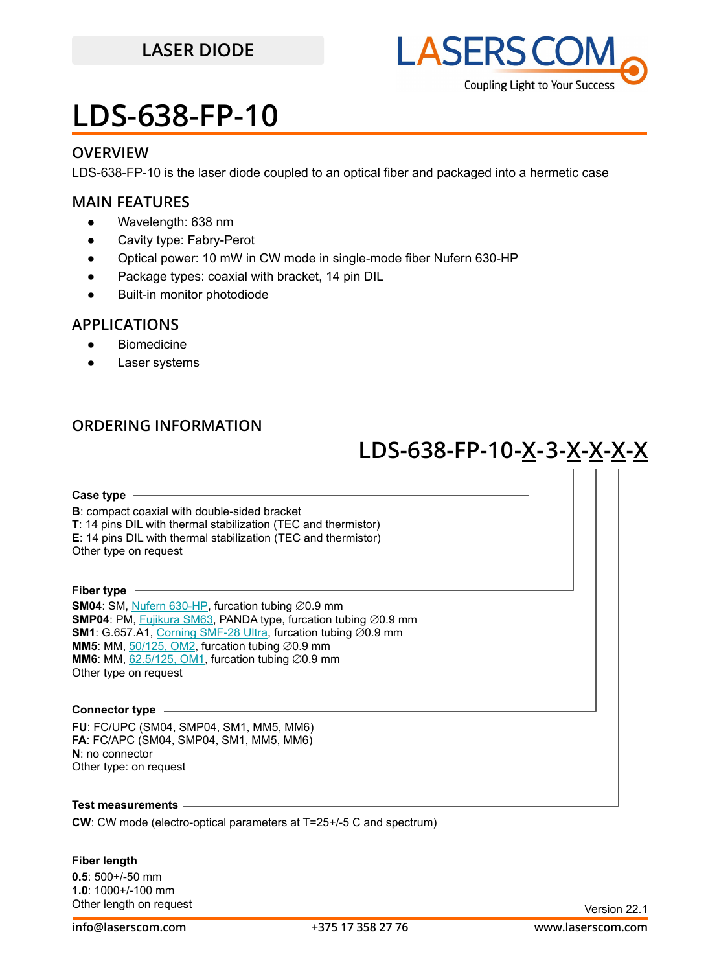## **LASER DIODE**



## **LDS-638-FP-10**

### **OVERVIEW**

LDS-638-FP-10 is the laser diode coupled to an optical fiber and packaged into a hermetic case

### **MAIN FEATURES**

- Wavelength: 638 nm
- Cavity type: Fabry-Perot
- Optical power: 10 mW in CW mode in single-mode fiber Nufern 630-HP
- Package types: coaxial with bracket, 14 pin DIL
- **Built-in monitor photodiode**

### **APPLICATIONS**

- Biomedicine
- Laser systems

### **ORDERING INFORMATION**

## **LDS-638-FP-10 -X-3-X-X-X-X**

#### **Case type**

**B**: compact coaxial with double-sided bracket **T**: 14 pins DIL with thermal stabilization (TEC and thermistor) **E**: 14 pins DIL with thermal stabilization (TEC and thermistor) Other type on request

**Fiber type**

**SM04**: SM, [Nufern 630-HP,](https://drive.google.com/file/d/12j5dGqxbssZEcfLVHgwBzsAFk-iMW5Xv/view?usp=sharing) furcation tubing ⊘0.9 mm **SMP04**: PM, [Fujikura SM63,](https://drive.google.com/file/d/1dCMTXQjFu8DDh8mAv9fO-URwBNrg9t2w/view?usp=sharing) PANDA type, furcation tubing ∅0.9 mm **SM1**: G.657.A1, [Corning SMF-28 Ultra,](https://drive.google.com/file/d/1JeMdVLHUIGFdzKdBnzaeOmjsa81S284f/view?usp=sharing) furcation tubing ∅0.9 mm **MM5**: MM,  $50/125$ , OM2, furcation tubing  $\varnothing$ 0.9 mm **MM6**: MM,  $62.5/125$ , OM1, furcation tubing  $\varnothing$ 0.9 mm Other type on request

#### **Connector type**

**FU**: FC/UPC (SM04, SMP04, SM1, MM5, MM6) **FA**: FC/APC (SM04, SMP04, SM1, MM5, MM6) **N**: no connector Other type: on request

**Test measurements**

**CW**: CW mode (electro-optical parameters at T=25+/-5 C and spectrum)

#### **Fiber length**

**0.5**: 500+/-50 mm **1.0**: 1000+/-100 mm Other length on request **Version 22.1**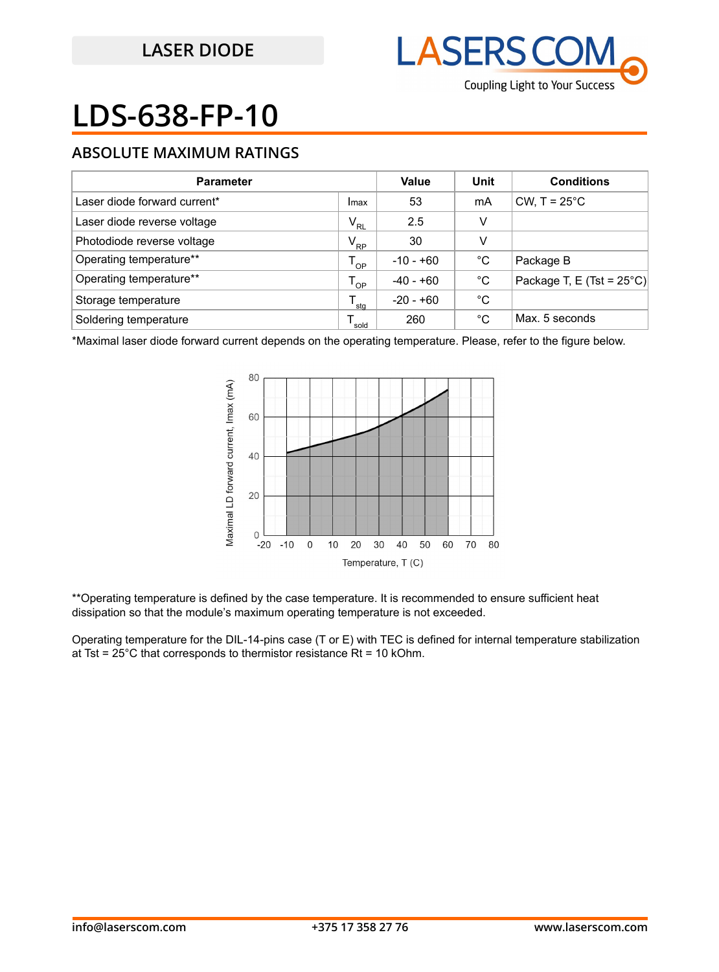

# **LDS-638-FP-10**

### **ABSOLUTE MAXIMUM RATINGS**

| <b>Parameter</b>             | Value           | Unit        | <b>Conditions</b> |                                     |
|------------------------------|-----------------|-------------|-------------------|-------------------------------------|
| Laser diode forward current* | Imax            | 53          | mA                | CW, $T = 25^{\circ}$ C              |
| Laser diode reverse voltage  | $V_{\rm RL}$    | 2.5         | v                 |                                     |
| Photodiode reverse voltage   | $V_{\text{RP}}$ | 30          | v                 |                                     |
| Operating temperature**      | $T_{OP}$        | $-10 - +60$ | °C                | Package B                           |
| Operating temperature**      | $T_{OP}$        | $-40 - +60$ | °C                | Package T, E (Tst = $25^{\circ}$ C) |
| Storage temperature          | sta             | $-20 - +60$ | °C                |                                     |
| Soldering temperature        | sold            | 260         | °C                | Max. 5 seconds                      |

\*Maximal laser diode forward current depends on the operating temperature. Please, refer to the figure below.



\*\*Operating temperature is defined by the case temperature. It is recommended to ensure sufficient heat dissipation so that the module's maximum operating temperature is not exceeded.

Operating temperature for the DIL-14-pins case (T or E) with TEC is defined for internal temperature stabilization at Tst =  $25^{\circ}$ C that corresponds to thermistor resistance Rt = 10 kOhm.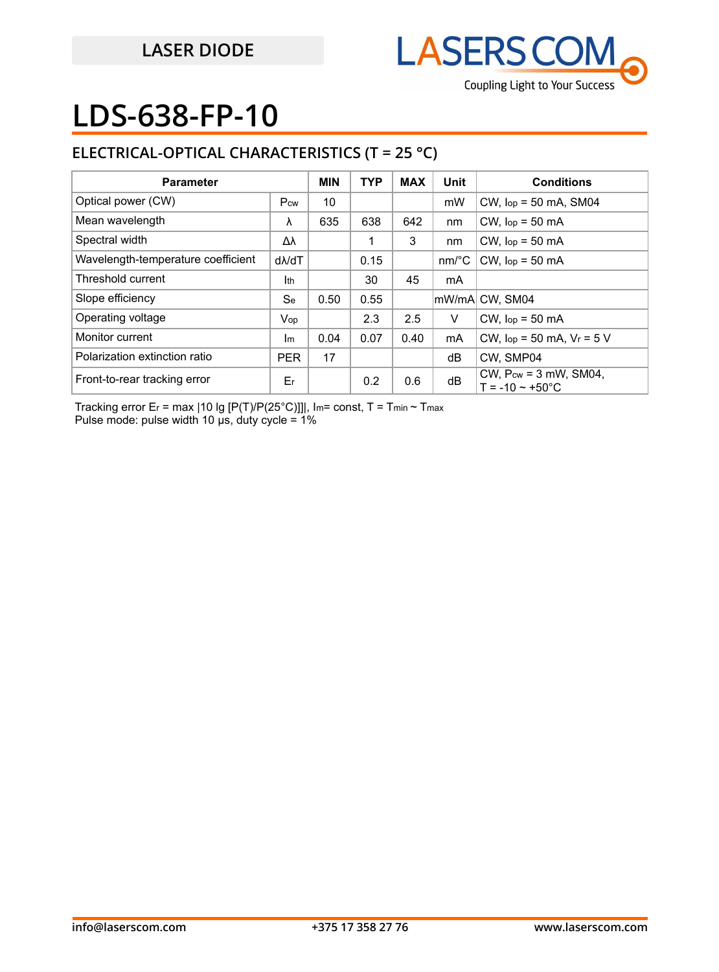

## **LDS-638-FP-10**

### **ELECTRICAL-OPTICAL CHARACTERISTICS (T = 25 °C)**

| <b>Parameter</b>                   |               | <b>MIN</b> | <b>TYP</b> | <b>MAX</b> | Unit                  | <b>Conditions</b>                                             |
|------------------------------------|---------------|------------|------------|------------|-----------------------|---------------------------------------------------------------|
| Optical power (CW)                 | Pcw           | 10         |            |            | mW                    | $CW$ , $lop = 50$ mA, SM04                                    |
| Mean wavelength                    | λ             | 635        | 638        | 642        | nm                    | $CW$ , $lop = 50$ mA                                          |
| Spectral width                     | Δλ            |            |            | 3          | nm                    | $CW$ , $lop = 50$ mA                                          |
| Wavelength-temperature coefficient | $d\lambda/dT$ |            | 0.15       |            | $nm$ <sup>o</sup> $C$ | $CW$ , $lop = 50$ mA                                          |
| Threshold current                  | Ith           |            | 30         | 45         | mA                    |                                                               |
| Slope efficiency                   | <b>Se</b>     | 0.50       | 0.55       |            |                       | mW/mA CW, SM04                                                |
| Operating voltage                  | Vop           |            | 2.3        | 2.5        | V                     | $CW$ , $lop = 50$ mA                                          |
| Monitor current                    | Im            | 0.04       | 0.07       | 0.40       | mA                    | CW, $lop = 50$ mA, $V_r = 5$ V                                |
| Polarization extinction ratio      | <b>PER</b>    | 17         |            |            | dB                    | CW, SMP04                                                     |
| Front-to-rear tracking error       | Er            |            | 0.2        | 0.6        | dB                    | CW, $P_{cw} = 3$ mW, SM04,<br>$T = -10 \approx +50^{\circ}$ C |

Tracking error Er = max | 10 lg [P(T)/P(25°C)]]|, Im= const, T = Tmin ~ Tmax Pulse mode: pulse width 10 μs, duty cycle = 1%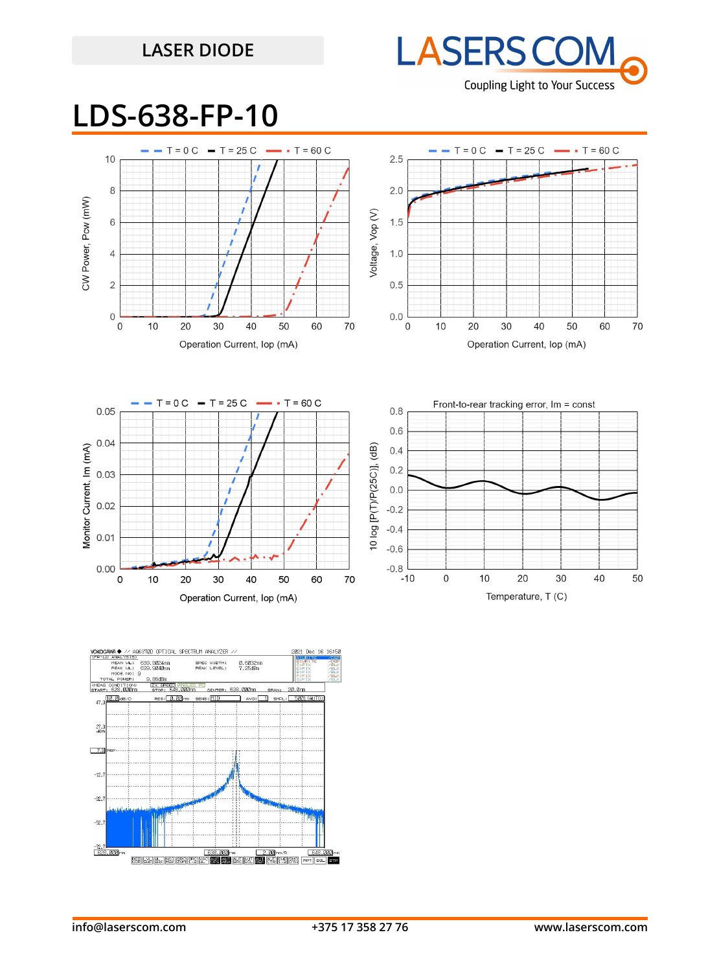## **LASER DIODE**



## **LDS-638-FP-10**





Operation Current, lop (mA)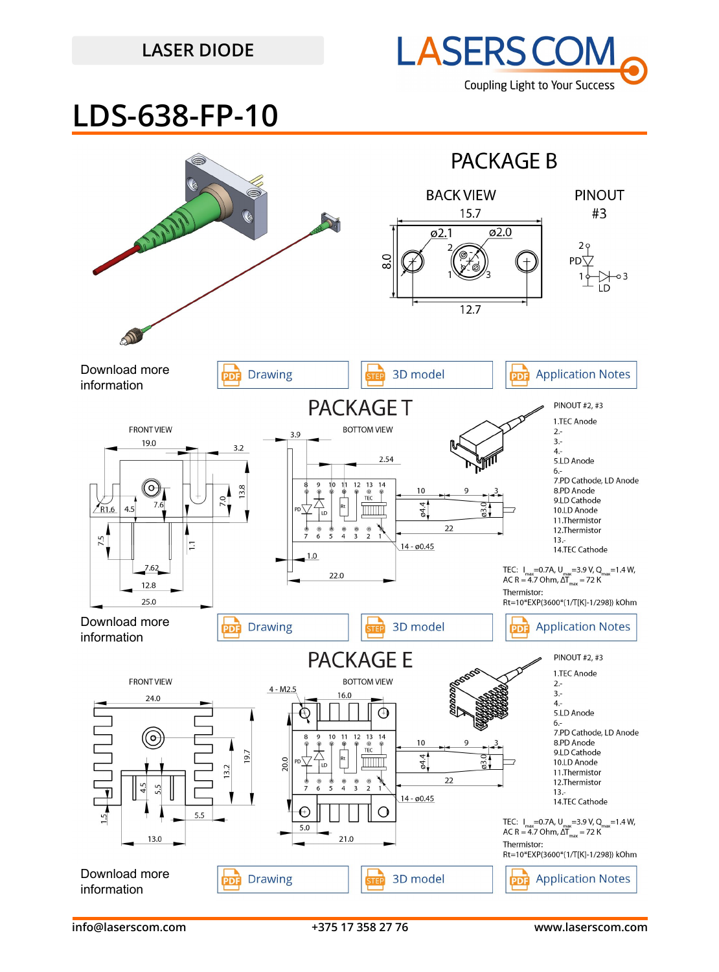### **LASER DIODE**



## **LDS-638-FP-10**